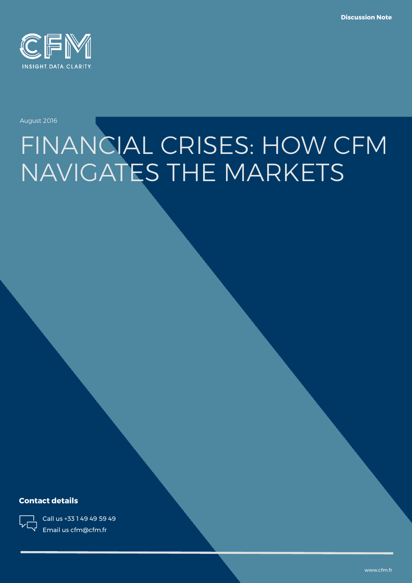

August 2016

# FINANCIAL CRISES: HOW CFM NAVIGATES THE MARKETS

**Contact details**



Call us +33 1 49 49 59 49 Email us cfm@cfm.fr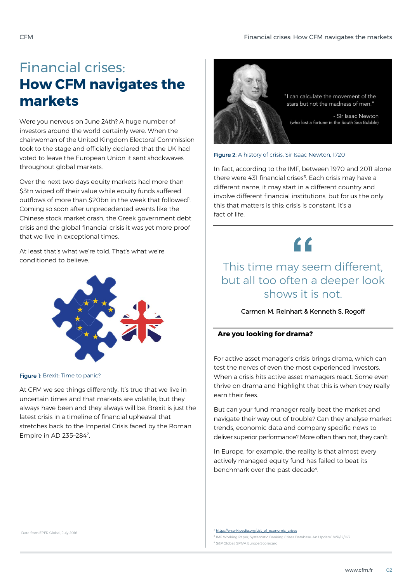## Financial crises: **How CFM navigates the markets**

Were you nervous on June 24th? A huge number of investors around the world certainly were. When the chairwoman of the United Kingdom Electoral Commission took to the stage and officially declared that the UK had voted to leave the European Union it sent shockwaves throughout global markets.

Over the next two days equity markets had more than \$3tn wiped off their value while equity funds suffered outflows of more than \$20bn in the week that followed<sup>1</sup>. Coming so soon after unprecedented events like the Chinese stock market crash, the Greek government debt crisis and the global financial crisis it was yet more proof that we live in exceptional times.

At least that's what we're told. That's what we're conditioned to believe.



Figure 1: Brexit: Time to panic?

At CFM we see things differently. It's true that we live in uncertain times and that markets are volatile, but they always have been and they always will be. Brexit is just the latest crisis in a timeline of financial upheaval that stretches back to the Imperial Crisis faced by the Roman Empire in AD 235–284<sup>2</sup> .



#### Figure 2: A history of crisis, Sir Isaac Newton, 1720

In fact, according to the IMF, between 1970 and 2011 alone there were 431 financial crises<sup>3</sup>. Each crisis may have a different name, it may start in a different country and involve different financial institutions, but for us the only this that matters is this: crisis is constant. It's a fact of life.

 $\epsilon$ 

### This time may seem different, but all too often a deeper look shows it is not.

#### Carmen M. Reinhart & Kenneth S. Rogoff

#### **Are you looking for drama?**

For active asset manager's crisis brings drama, which can test the nerves of even the most experienced investors. When a crisis hits active asset managers react. Some even thrive on drama and highlight that this is when they really earn their fees.

But can your fund manager really beat the market and navigate their way out of trouble? Can they analyse market trends, economic data and company specific news to deliver superior performance? More often than not, they can't.

In Europe, for example, the reality is that almost every actively managed equity fund has failed to beat its benchmark over the past decade<sup>4</sup>. .

<sup>1</sup> Data from EPFR Global, July 2016

en.wikipedia.org/List\_of\_economic\_crises

IMF Working Paper, Systematic Banking Crises Database: An Update'. WP/12/163

<sup>4</sup> S&P Global, SPIVA Europe Scorecard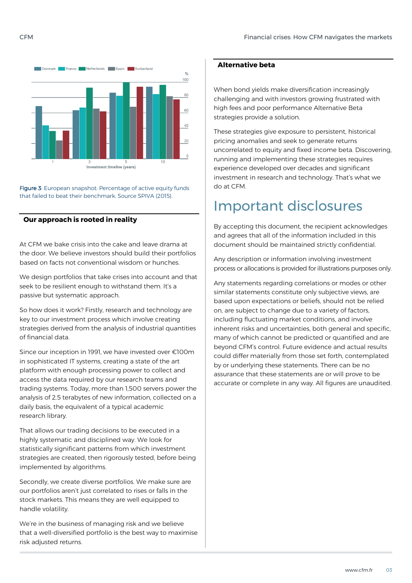

Figure 3: European snapshot: Percentage of active equity funds that failed to beat their benchmark. Source SPIVA (2015).

#### **Our approach is rooted in reality**

At CFM we bake crisis into the cake and leave drama at the door. We believe investors should build their portfolios based on facts not conventional wisdom or hunches.

We design portfolios that take crises into account and that seek to be resilient enough to withstand them. It's a passive but systematic approach.

So how does it work? Firstly, research and technology are key to our investment process which involve creating strategies derived from the analysis of industrial quantities of financial data.

Since our inception in 1991, we have invested over €100m in sophisticated IT systems, creating a state of the art platform with enough processing power to collect and access the data required by our research teams and trading systems. Today, more than 1,500 servers power the analysis of 2.5 terabytes of new information, collected on a daily basis, the equivalent of a typical academic research library.

That allows our trading decisions to be executed in a highly systematic and disciplined way. We look for statistically significant patterns from which investment strategies are created, then rigorously tested, before being implemented by algorithms.

Secondly, we create diverse portfolios. We make sure are our portfolios aren't just correlated to rises or falls in the stock markets. This means they are well equipped to handle volatility.

We're in the business of managing risk and we believe that a well-diversified portfolio is the best way to maximise risk adjusted returns.

#### **Alternative beta**

When bond yields make diversification increasingly challenging and with investors growing frustrated with high fees and poor performance Alternative Beta strategies provide a solution.

These strategies give exposure to persistent, historical pricing anomalies and seek to generate returns uncorrelated to equity and fixed income beta. Discovering, running and implementing these strategies requires experience developed over decades and significant investment in research and technology. That's what we do at CFM.

### Important disclosures

By accepting this document, the recipient acknowledges and agrees that all of the information included in this document should be maintained strictly confidential.

Any description or information involving investment process or allocations is provided for illustrations purposes only.

Any statements regarding correlations or modes or other similar statements constitute only subjective views, are based upon expectations or beliefs, should not be relied on, are subject to change due to a variety of factors, including fluctuating market conditions, and involve inherent risks and uncertainties, both general and specific, many of which cannot be predicted or quantified and are beyond CFM's control. Future evidence and actual results could differ materially from those set forth, contemplated by or underlying these statements. There can be no assurance that these statements are or will prove to be accurate or complete in any way. All figures are unaudited.